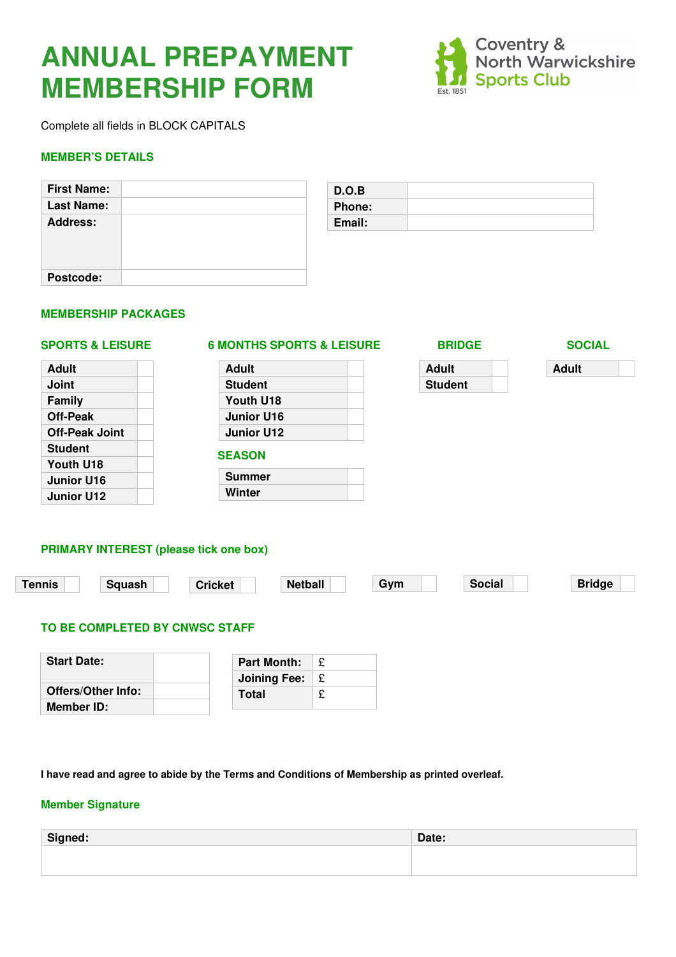# **ANNUAL PREPAYMENT MEMBERSHIP FORM**



Complete all fields in BLOCK CAPITALS

#### **MEMBER'S DETAILS**

| <b>First Name:</b> |  |
|--------------------|--|
| <b>Last Name:</b>  |  |
| <b>Address:</b>    |  |
| Postcode:          |  |

| D.O.B         |  |
|---------------|--|
| <b>Phone:</b> |  |
| Email:        |  |
|               |  |

#### **MEMBERSHIP PACKAGES**

## **SPORTS & LEISURE 6 MONTHS SPORTS & LEISURE BRIDGE SOCIAL**

| Adult                 |  |
|-----------------------|--|
| Joint                 |  |
| Family                |  |
| <b>Off-Peak</b>       |  |
| <b>Off-Peak Joint</b> |  |
| <b>Student</b>        |  |
| Youth U18             |  |
| <b>Junior U16</b>     |  |
| <b>Junior U12</b>     |  |
|                       |  |

| Adult             |  |
|-------------------|--|
| <b>Student</b>    |  |
| Youth U18         |  |
| <b>Junior U16</b> |  |
| <b>Junior U12</b> |  |
| <b>SEASON</b>     |  |

**Summer Winter** 

| о<br>IDO<br>◡<br>י הי<br>. . |  |  |  |  |  |  |
|------------------------------|--|--|--|--|--|--|
|------------------------------|--|--|--|--|--|--|

| Adult          |  |
|----------------|--|
| <b>Student</b> |  |

**Adult** 

### **PRIMARY INTEREST (please tick one box)**

| Tennis | <b>Sauash</b> | Cricket | etball<br><b>Netl</b> | Gvm | Social | <b>Bridge</b> |
|--------|---------------|---------|-----------------------|-----|--------|---------------|
|        |               |         |                       |     |        |               |

#### **TO BE COMPLETED BY CNWSC STAFF**

| <b>Start Date:</b> | <b>Part Month:</b>  |           |
|--------------------|---------------------|-----------|
|                    | <b>Joining Fee:</b> | $\perp$ £ |
| Offers/Other Info: | <b>Total</b>        |           |
| Member ID:         |                     |           |

**I have read and agree to abide by the Terms and Conditions of Membership as printed overleaf.** 

#### **Member Signature**

| Signed: | Date: |
|---------|-------|
|         |       |
|         |       |